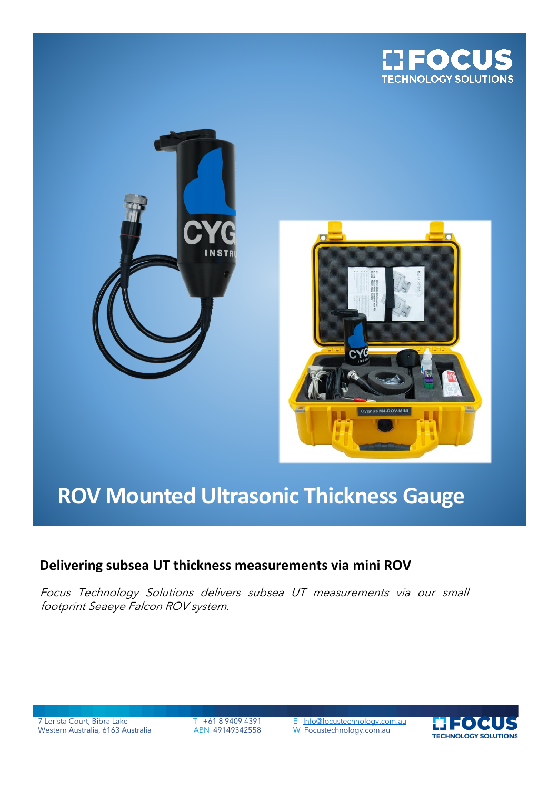





# **ROV Mounted Ultrasonic Thickness Gauge**

## **Delivering subsea UT thickness measurements via mini ROV**

Focus Technology Solutions delivers subsea UT measurements via our small footprint Seaeye Falcon ROV system.

7 Lerista Court, Bibra Lake T +61 8 9409 4391 E [Info@focustechnology.com.au](mailto:Info@focustechnology.com.au)